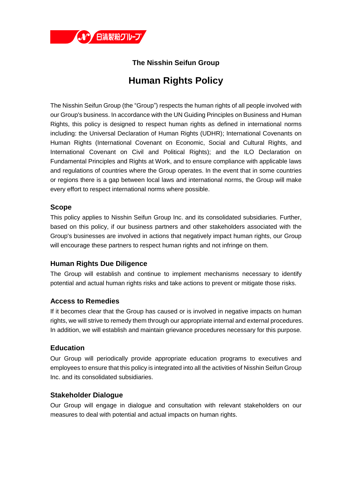

# **The Nisshin Seifun Group**

# **Human Rights Policy**

The Nisshin Seifun Group (the "Group") respects the human rights of all people involved with our Group's business. In accordance with the UN Guiding Principles on Business and Human Rights, this policy is designed to respect human rights as defined in international norms including: the Universal Declaration of Human Rights (UDHR); International Covenants on Human Rights (International Covenant on Economic, Social and Cultural Rights, and International Covenant on Civil and Political Rights); and the ILO Declaration on Fundamental Principles and Rights at Work, and to ensure compliance with applicable laws and regulations of countries where the Group operates. In the event that in some countries or regions there is a gap between local laws and international norms, the Group will make every effort to respect international norms where possible.

### **Scope**

This policy applies to Nisshin Seifun Group Inc. and its consolidated subsidiaries. Further, based on this policy, if our business partners and other stakeholders associated with the Group's businesses are involved in actions that negatively impact human rights, our Group will encourage these partners to respect human rights and not infringe on them.

## **Human Rights Due Diligence**

The Group will establish and continue to implement mechanisms necessary to identify potential and actual human rights risks and take actions to prevent or mitigate those risks.

#### **Access to Remedies**

If it becomes clear that the Group has caused or is involved in negative impacts on human rights, we will strive to remedy them through our appropriate internal and external procedures. In addition, we will establish and maintain grievance procedures necessary for this purpose.

#### **Education**

Our Group will periodically provide appropriate education programs to executives and employees to ensure that this policy is integrated into all the activities of Nisshin Seifun Group Inc. and its consolidated subsidiaries.

#### **Stakeholder Dialogue**

Our Group will engage in dialogue and consultation with relevant stakeholders on our measures to deal with potential and actual impacts on human rights.